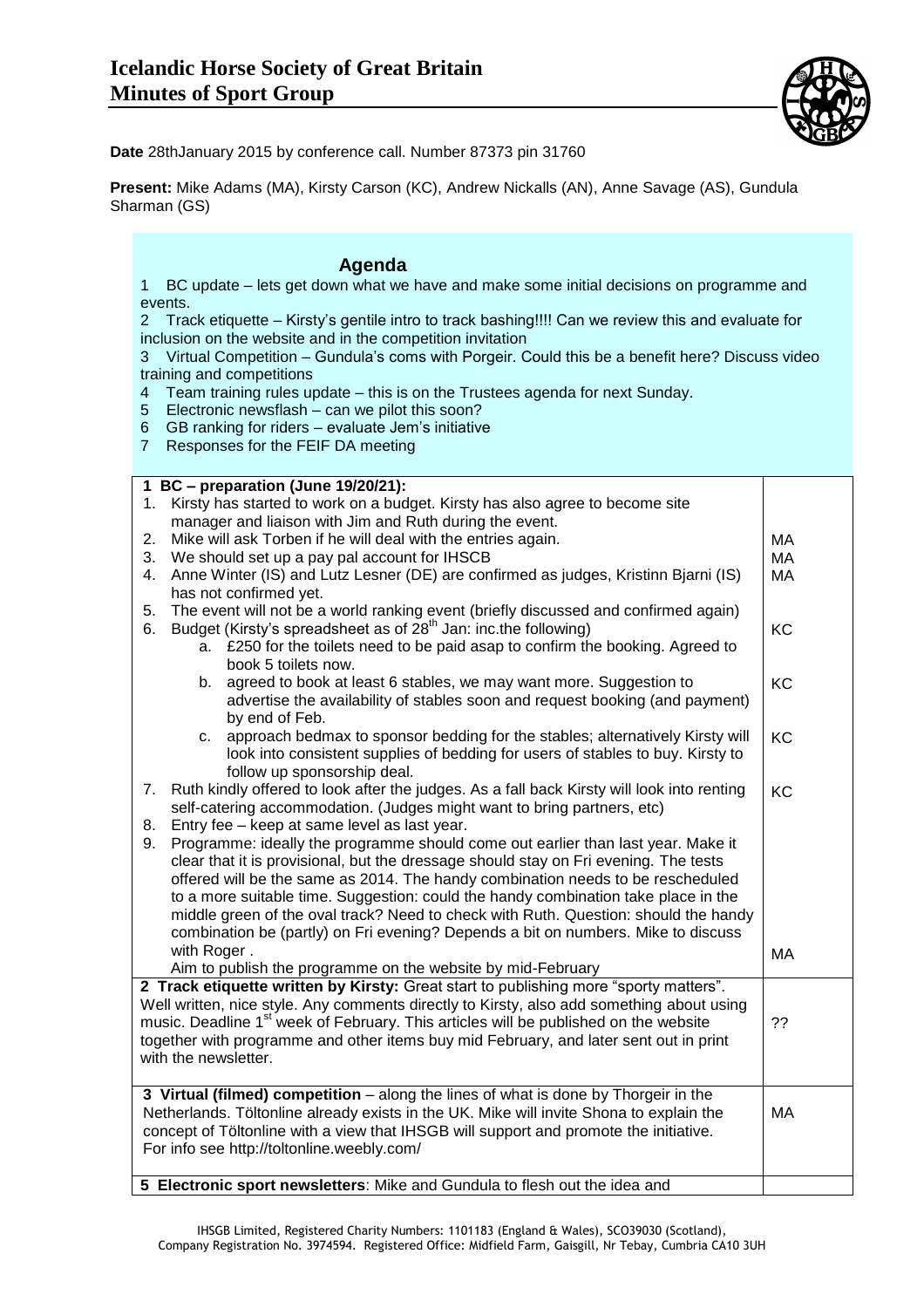

**Date** 28thJanuary 2015 by conference call. Number 87373 pin 31760

**Present:** Mike Adams (MA), Kirsty Carson (KC), Andrew Nickalls (AN), Anne Savage (AS), Gundula Sharman (GS)

## **Agenda**

1 BC update – lets get down what we have and make some initial decisions on programme and events.

2 Track etiquette – Kirsty's gentile intro to track bashing!!!! Can we review this and evaluate for inclusion on the website and in the competition invitation

3 Virtual Competition – Gundula's coms with Porgeir. Could this be a benefit here? Discuss video training and competitions

- 4 Team training rules update this is on the Trustees agenda for next Sunday.
- 5 Electronic newsflash can we pilot this soon?
- 6 GB ranking for riders evaluate Jem's initiative
- 7 Responses for the FEIF DA meeting

|                                                                                           |          | 1 BC - preparation (June 19/20/21):                                                                                                                                |    |
|-------------------------------------------------------------------------------------------|----------|--------------------------------------------------------------------------------------------------------------------------------------------------------------------|----|
|                                                                                           |          | 1. Kirsty has started to work on a budget. Kirsty has also agree to become site                                                                                    |    |
|                                                                                           |          | manager and liaison with Jim and Ruth during the event.                                                                                                            |    |
|                                                                                           | 2.       | Mike will ask Torben if he will deal with the entries again.                                                                                                       | MA |
|                                                                                           | 3.       | We should set up a pay pal account for IHSCB                                                                                                                       | MA |
|                                                                                           | 4.       | Anne Winter (IS) and Lutz Lesner (DE) are confirmed as judges, Kristinn Bjarni (IS)                                                                                | MA |
|                                                                                           |          | has not confirmed yet.                                                                                                                                             |    |
|                                                                                           | 5.<br>6. | The event will not be a world ranking event (briefly discussed and confirmed again)<br>Budget (Kirsty's spreadsheet as of 28 <sup>th</sup> Jan: inc.the following) | KC |
|                                                                                           |          | a. £250 for the toilets need to be paid asap to confirm the booking. Agreed to                                                                                     |    |
|                                                                                           |          | book 5 toilets now.                                                                                                                                                |    |
|                                                                                           |          | b. agreed to book at least 6 stables, we may want more. Suggestion to                                                                                              | KC |
|                                                                                           |          | advertise the availability of stables soon and request booking (and payment)                                                                                       |    |
|                                                                                           |          | by end of Feb.                                                                                                                                                     |    |
|                                                                                           |          | c. approach bedmax to sponsor bedding for the stables; alternatively Kirsty will                                                                                   | KC |
|                                                                                           |          | look into consistent supplies of bedding for users of stables to buy. Kirsty to                                                                                    |    |
|                                                                                           |          | follow up sponsorship deal.                                                                                                                                        |    |
|                                                                                           | 7.       | Ruth kindly offered to look after the judges. As a fall back Kirsty will look into renting                                                                         | KC |
|                                                                                           |          | self-catering accommodation. (Judges might want to bring partners, etc)                                                                                            |    |
|                                                                                           | 8.       | Entry fee - keep at same level as last year.                                                                                                                       |    |
|                                                                                           | 9.       | Programme: ideally the programme should come out earlier than last year. Make it                                                                                   |    |
|                                                                                           |          | clear that it is provisional, but the dressage should stay on Fri evening. The tests                                                                               |    |
|                                                                                           |          | offered will be the same as 2014. The handy combination needs to be rescheduled                                                                                    |    |
|                                                                                           |          | to a more suitable time. Suggestion: could the handy combination take place in the                                                                                 |    |
|                                                                                           |          | middle green of the oval track? Need to check with Ruth. Question: should the handy                                                                                |    |
|                                                                                           |          | combination be (partly) on Fri evening? Depends a bit on numbers. Mike to discuss                                                                                  |    |
|                                                                                           |          | with Roger.                                                                                                                                                        | MA |
|                                                                                           |          | Aim to publish the programme on the website by mid-February                                                                                                        |    |
| 2 Track etiquette written by Kirsty: Great start to publishing more "sporty matters".     |          |                                                                                                                                                                    |    |
| Well written, nice style. Any comments directly to Kirsty, also add something about using |          |                                                                                                                                                                    |    |
|                                                                                           |          | music. Deadline 1 <sup>st</sup> week of February. This articles will be published on the website                                                                   | ?? |
| together with programme and other items buy mid February, and later sent out in print     |          |                                                                                                                                                                    |    |
| with the newsletter.                                                                      |          |                                                                                                                                                                    |    |
|                                                                                           |          |                                                                                                                                                                    |    |
| 3 Virtual (filmed) competition - along the lines of what is done by Thorgeir in the       |          |                                                                                                                                                                    |    |
| Netherlands. Töltonline already exists in the UK. Mike will invite Shona to explain the   |          |                                                                                                                                                                    | MA |
| concept of Töltonline with a view that IHSGB will support and promote the initiative.     |          |                                                                                                                                                                    |    |
| For info see http://toltonline.weebly.com/                                                |          |                                                                                                                                                                    |    |
|                                                                                           |          | 5 Electronic sport newsletters: Mike and Gundula to flesh out the idea and                                                                                         |    |
|                                                                                           |          |                                                                                                                                                                    |    |